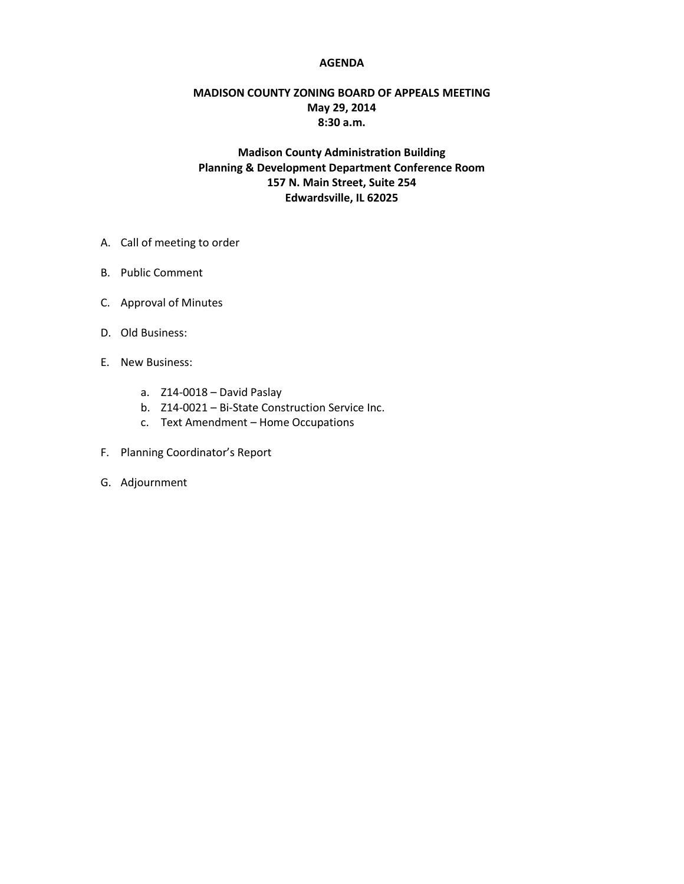## **AGENDA**

## **MADISON COUNTY ZONING BOARD OF APPEALS MEETING May 29, 2014 8:30 a.m.**

## **Madison County Administration Building Planning & Development Department Conference Room 157 N. Main Street, Suite 254 Edwardsville, IL 62025**

- A. Call of meeting to order
- B. Public Comment
- C. Approval of Minutes
- D. Old Business:
- E. New Business:
	- a. Z14-0018 David Paslay
	- b. Z14-0021 Bi-State Construction Service Inc.
	- c. Text Amendment Home Occupations
- F. Planning Coordinator's Report
- G. Adjournment